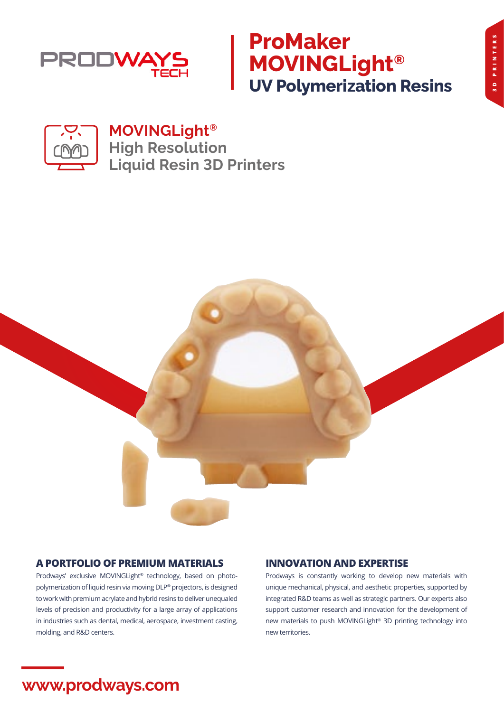

# **ProMaker MOVINGLight® UV Polymerization Resins**

**3D PRINTERS**

3D PRINTERS



## **MOVINGLight® High Resolution Liquid Resin 3D Printers**



### **A PORTFOLIO OF PREMIUM MATERIALS**

Prodways' exclusive MOVINGLight® technology, based on photopolymerization of liquid resin via moving DLP® projectors, is designed to work with premium acrylate and hybrid resins to deliver unequaled levels of precision and productivity for a large array of applications in industries such as dental, medical, aerospace, investment casting, molding, and R&D centers.

### **INNOVATION AND EXPERTISE**

Prodways is constantly working to develop new materials with unique mechanical, physical, and aesthetic properties, supported by integrated R&D teams as well as strategic partners. Our experts also support customer research and innovation for the development of new materials to push MOVINGLight® 3D printing technology into new territories.